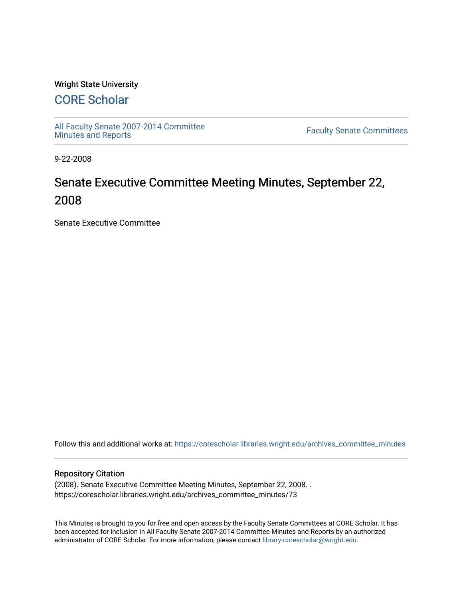### Wright State University

## [CORE Scholar](https://corescholar.libraries.wright.edu/)

[All Faculty Senate 2007-2014 Committee](https://corescholar.libraries.wright.edu/archives_committee_minutes)

**Faculty Senate Committees** 

9-22-2008

# Senate Executive Committee Meeting Minutes, September 22, 2008

Senate Executive Committee

Follow this and additional works at: [https://corescholar.libraries.wright.edu/archives\\_committee\\_minutes](https://corescholar.libraries.wright.edu/archives_committee_minutes?utm_source=corescholar.libraries.wright.edu%2Farchives_committee_minutes%2F73&utm_medium=PDF&utm_campaign=PDFCoverPages) 

#### Repository Citation

(2008). Senate Executive Committee Meeting Minutes, September 22, 2008. . https://corescholar.libraries.wright.edu/archives\_committee\_minutes/73

This Minutes is brought to you for free and open access by the Faculty Senate Committees at CORE Scholar. It has been accepted for inclusion in All Faculty Senate 2007-2014 Committee Minutes and Reports by an authorized administrator of CORE Scholar. For more information, please contact [library-corescholar@wright.edu.](mailto:library-corescholar@wright.edu)